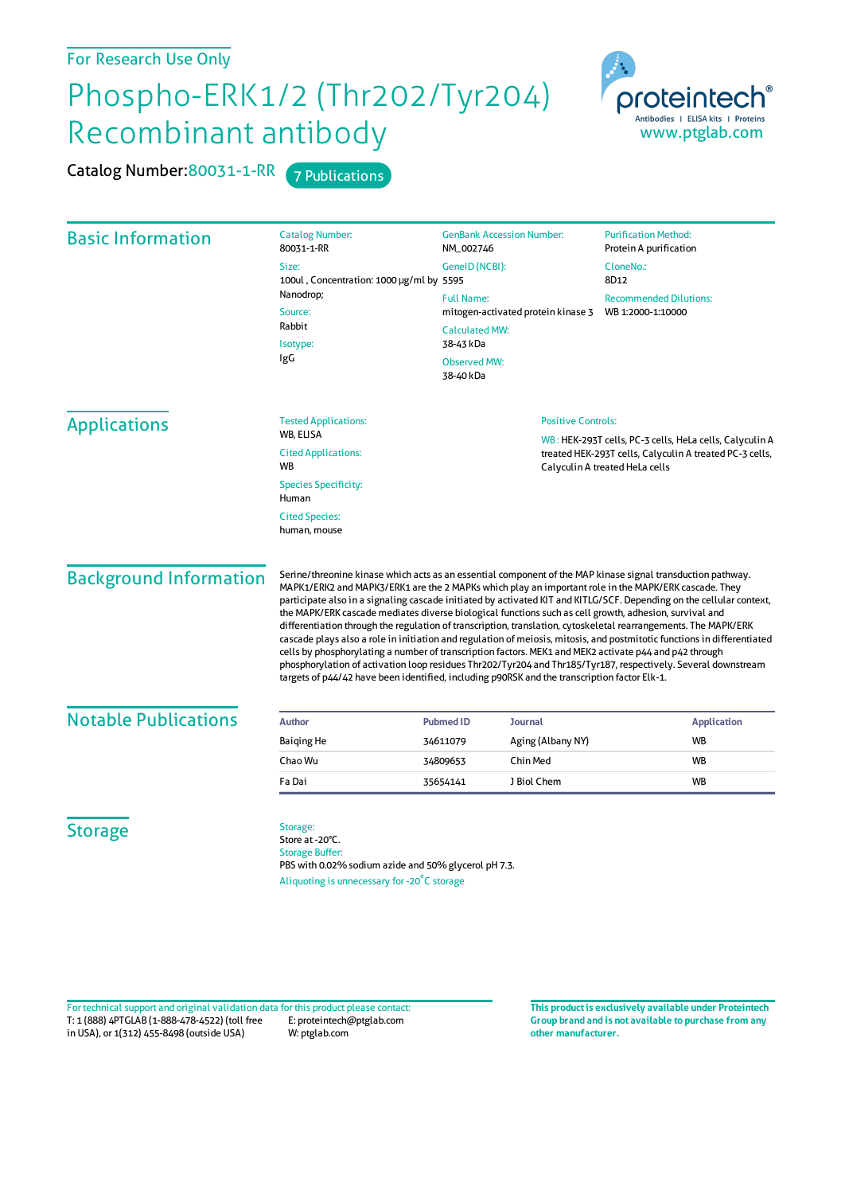## For Research Use Only

## Phospho-ERK1/2 (Thr202/Tyr204) Recombinant antibody

Catalog Number: 80031-1-RR 7 Publications



| <b>Basic Information</b>      | <b>Catalog Number:</b><br><b>GenBank Accession Number:</b><br>80031-1-RR<br>NM_002746                                                                                                                                                                                                                                                                                                                                                                                                                                                                                                                                                                                                                                                                                                                                                                                                                                                                                                                                          |                                                                                                                                   |                   | <b>Purification Method:</b><br>Protein A purification<br>CloneNo.:<br>8D12                                                                           |  |
|-------------------------------|--------------------------------------------------------------------------------------------------------------------------------------------------------------------------------------------------------------------------------------------------------------------------------------------------------------------------------------------------------------------------------------------------------------------------------------------------------------------------------------------------------------------------------------------------------------------------------------------------------------------------------------------------------------------------------------------------------------------------------------------------------------------------------------------------------------------------------------------------------------------------------------------------------------------------------------------------------------------------------------------------------------------------------|-----------------------------------------------------------------------------------------------------------------------------------|-------------------|------------------------------------------------------------------------------------------------------------------------------------------------------|--|
|                               | Size:<br>100ul, Concentration: 1000 µg/ml by 5595<br>Nanodrop;<br>Source:<br>Rabbit<br>Isotype:<br>IgG                                                                                                                                                                                                                                                                                                                                                                                                                                                                                                                                                                                                                                                                                                                                                                                                                                                                                                                         | GenelD (NCBI):                                                                                                                    |                   |                                                                                                                                                      |  |
|                               |                                                                                                                                                                                                                                                                                                                                                                                                                                                                                                                                                                                                                                                                                                                                                                                                                                                                                                                                                                                                                                | <b>Full Name:</b><br>mitogen-activated protein kinase 3<br><b>Calculated MW:</b><br>38-43 kDa<br><b>Observed MW:</b><br>38-40 kDa |                   | <b>Recommended Dilutions:</b><br>WB 1:2000-1:10000                                                                                                   |  |
| <b>Applications</b>           | <b>Tested Applications:</b>                                                                                                                                                                                                                                                                                                                                                                                                                                                                                                                                                                                                                                                                                                                                                                                                                                                                                                                                                                                                    |                                                                                                                                   |                   | <b>Positive Controls:</b>                                                                                                                            |  |
|                               | WB, ELISA<br><b>Cited Applications:</b><br><b>WB</b><br><b>Species Specificity:</b><br>Human                                                                                                                                                                                                                                                                                                                                                                                                                                                                                                                                                                                                                                                                                                                                                                                                                                                                                                                                   |                                                                                                                                   |                   | WB: HEK-293T cells, PC-3 cells, HeLa cells, Calyculin A<br>treated HEK-293T cells, Calyculin A treated PC-3 cells,<br>Calyculin A treated HeLa cells |  |
|                               | <b>Cited Species:</b><br>human, mouse                                                                                                                                                                                                                                                                                                                                                                                                                                                                                                                                                                                                                                                                                                                                                                                                                                                                                                                                                                                          |                                                                                                                                   |                   |                                                                                                                                                      |  |
| <b>Background Information</b> | Serine/threonine kinase which acts as an essential component of the MAP kinase signal transduction pathway.<br>MAPK1/ERK2 and MAPK3/ERK1 are the 2 MAPKs which play an important role in the MAPK/ERK cascade. They<br>participate also in a signaling cascade initiated by activated KIT and KITLG/SCF. Depending on the cellular context,<br>the MAPK/ERK cascade mediates diverse biological functions such as cell growth, adhesion, survival and<br>differentiation through the regulation of transcription, translation, cytoskeletal rearrangements. The MAPK/ERK<br>cascade plays also a role in initiation and regulation of meiosis, mitosis, and postmitotic functions in differentiated<br>cells by phosphorylating a number of transcription factors. MEK1 and MEK2 activate p44 and p42 through<br>phosphorylation of activation loop residues Thr202/Tyr204 and Thr185/Tyr187, respectively. Several downstream<br>targets of p44/42 have been identified, including p90RSK and the transcription factor Elk-1. |                                                                                                                                   |                   |                                                                                                                                                      |  |
| <b>Notable Publications</b>   | <b>Author</b>                                                                                                                                                                                                                                                                                                                                                                                                                                                                                                                                                                                                                                                                                                                                                                                                                                                                                                                                                                                                                  | <b>Pubmed ID</b>                                                                                                                  | <b>Journal</b>    | <b>Application</b>                                                                                                                                   |  |
|                               | <b>Baiging He</b>                                                                                                                                                                                                                                                                                                                                                                                                                                                                                                                                                                                                                                                                                                                                                                                                                                                                                                                                                                                                              | 34611079                                                                                                                          | Aging (Albany NY) | <b>WB</b>                                                                                                                                            |  |
|                               | Chao Wu                                                                                                                                                                                                                                                                                                                                                                                                                                                                                                                                                                                                                                                                                                                                                                                                                                                                                                                                                                                                                        | 34809653                                                                                                                          | Chin Med          | WB                                                                                                                                                   |  |
|                               | Fa Dai                                                                                                                                                                                                                                                                                                                                                                                                                                                                                                                                                                                                                                                                                                                                                                                                                                                                                                                                                                                                                         | 35654141                                                                                                                          | J Biol Chem       | <b>WB</b>                                                                                                                                            |  |
| <b>Storage</b>                | Storage:<br>Store at -20°C.<br><b>Storage Buffer:</b><br>PBS with 0.02% sodium azide and 50% glycerol pH 7.3.<br>Aliquoting is unnecessary for -20°C storage                                                                                                                                                                                                                                                                                                                                                                                                                                                                                                                                                                                                                                                                                                                                                                                                                                                                   |                                                                                                                                   |                   |                                                                                                                                                      |  |

T: 1 (888) 4PTGLAB (1-888-478-4522) (toll free in USA), or 1(312) 455-8498 (outside USA) E: proteintech@ptglab.com W: ptglab.com Fortechnical support and original validation data forthis product please contact: **This productis exclusively available under Proteintech**

**Group brand and is not available to purchase from any other manufacturer.**